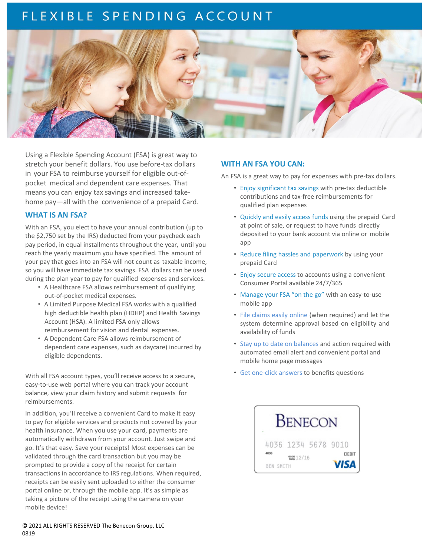# FLEXIBLE SPENDING ACCOUNT



Using a Flexible Spending Account (FSA) is great way to stretch your benefit dollars. You use before-tax dollars in your FSA to reimburse yourself for eligible out-ofpocket medical and dependent care expenses. That means you can enjoy tax savings and increased takehome pay—all with the convenience of a prepaid Card.

### **WHAT IS AN FSA?**

With an FSA, you elect to have your annual contribution (up to the \$2,750 set by the IRS) deducted from your paycheck each pay period, in equal installments throughout the year, until you reach the yearly maximum you have specified. The amount of your pay that goes into an FSA will not count as taxable income, so you will have immediate tax savings. FSA dollars can be used during the plan year to pay for qualified expenses and services.

- A Healthcare FSA allows reimbursement of qualifying out-of-pocket medical expenses.
- A Limited Purpose Medical FSA works with a qualified high deductible health plan (HDHP) and Health Savings Account (HSA). A limited FSA only allows reimbursement for vision and dental expenses.
- A Dependent Care FSA allows reimbursement of dependent care expenses, such as daycare) incurred by eligible dependents.

With all FSA account types, you'll receive access to a secure, easy-to-use web portal where you can track your account balance, view your claim history and submit requests for reimbursements.

In addition, you'll receive a convenient Card to make it easy to pay for eligible services and products not covered by your health insurance. When you use your card, payments are automatically withdrawn from your account. Just swipe and go. It's that easy. Save your receipts! Most expenses can be validated through the card transaction but you may be prompted to provide a copy of the receipt for certain transactions in accordance to IRS regulations. When required, receipts can be easily sent uploaded to either the consumer portal online or, through the mobile app. It's as simple as taking a picture of the receipt using the camera on your mobile device!

## **WITH AN FSA YOU CAN:**

An FSA is a great way to pay for expenses with pre-tax dollars.

- Enjoy significant tax savings with pre-tax deductible contributions and tax-free reimbursements for qualified plan expenses
- Quickly and easily access funds using the prepaid Card at point of sale, or request to have funds directly deposited to your bank account via online or mobile app
- Reduce filing hassles and paperwork by using your prepaid Card
- Enjoy secure access to accounts using a convenient Consumer Portal available 24/7/365
- Manage your FSA "on the go" with an easy-to-use mobile app
- File claims easily online (when required) and let the system determine approval based on eligibility and availability of funds
- Stay up to date on balances and action required with automated email alert and convenient portal and mobile home page messages
- Get one-click answers to benefits questions